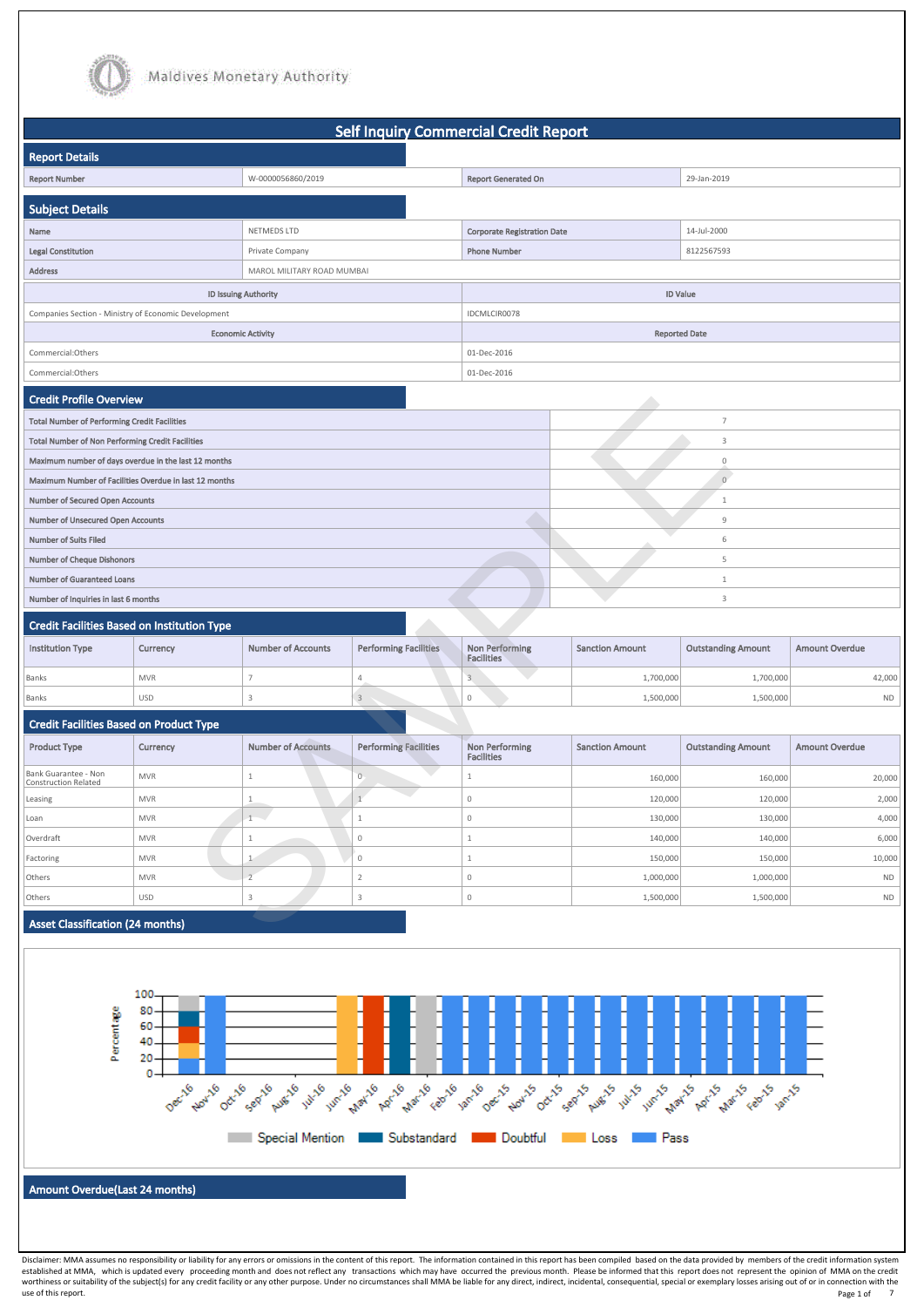



|                                                         |                             |                            | <b>Self Inquiry Commercial Credit Report</b> |                                            |                        |                           |                       |
|---------------------------------------------------------|-----------------------------|----------------------------|----------------------------------------------|--------------------------------------------|------------------------|---------------------------|-----------------------|
| <b>Report Details</b>                                   |                             |                            |                                              |                                            |                        |                           |                       |
| <b>Report Number</b>                                    |                             | W-0000056860/2019          |                                              | <b>Report Generated On</b>                 |                        | 29-Jan-2019               |                       |
|                                                         |                             |                            |                                              |                                            |                        |                           |                       |
| Subject Details                                         |                             |                            |                                              |                                            |                        |                           |                       |
| Name                                                    |                             | NETMEDS LTD                |                                              | <b>Corporate Registration Date</b>         |                        | 14-Jul-2000               |                       |
| <b>Legal Constitution</b>                               |                             | Private Company            |                                              | <b>Phone Number</b>                        |                        | 8122567593                |                       |
| <b>Address</b>                                          |                             | MAROL MILITARY ROAD MUMBAI |                                              |                                            |                        |                           |                       |
|                                                         | <b>ID Issuing Authority</b> |                            |                                              |                                            |                        | <b>ID Value</b>           |                       |
| Companies Section - Ministry of Economic Development    |                             |                            |                                              | IDCMLCIR0078                               |                        |                           |                       |
|                                                         | <b>Economic Activity</b>    |                            |                                              |                                            |                        | <b>Reported Date</b>      |                       |
| Commercial:Others                                       |                             |                            |                                              | 01-Dec-2016                                |                        |                           |                       |
| Commercial:Others                                       |                             |                            |                                              | 01-Dec-2016                                |                        |                           |                       |
| <b>Credit Profile Overview</b>                          |                             |                            |                                              |                                            |                        |                           |                       |
| <b>Total Number of Performing Credit Facilities</b>     |                             |                            |                                              |                                            |                        | $\overline{7}$            |                       |
| <b>Total Number of Non Performing Credit Facilities</b> |                             |                            |                                              |                                            |                        | 3                         |                       |
| Maximum number of days overdue in the last 12 months    |                             |                            |                                              |                                            |                        | $\mathbf 0$               |                       |
| Maximum Number of Facilities Overdue in last 12 months  |                             |                            |                                              |                                            |                        | $\sqrt{0}$                |                       |
| <b>Number of Secured Open Accounts</b>                  |                             |                            |                                              |                                            |                        | 1                         |                       |
| <b>Number of Unsecured Open Accounts</b>                |                             |                            |                                              |                                            |                        | 9                         |                       |
| <b>Number of Suits Filed</b>                            |                             |                            |                                              |                                            |                        | 6                         |                       |
| <b>Number of Cheque Dishonors</b>                       |                             |                            |                                              |                                            |                        | 5                         |                       |
| <b>Number of Guaranteed Loans</b>                       |                             |                            |                                              |                                            |                        | $\mathbf{1}$              |                       |
| Number of Inquiries in last 6 months                    |                             |                            |                                              |                                            |                        | 3                         |                       |
| <b>Credit Facilities Based on Institution Type</b>      |                             |                            |                                              |                                            |                        |                           |                       |
| <b>Institution Type</b>                                 | Currency                    | <b>Number of Accounts</b>  | <b>Performing Facilities</b>                 | <b>Non Performing</b><br><b>Facilities</b> | <b>Sanction Amount</b> | <b>Outstanding Amount</b> | <b>Amount Overdue</b> |
| Banks                                                   | <b>MVR</b>                  | $\overline{7}$             | $4 -$                                        | $\overline{3}$                             | 1,700,000              | 1,700,000                 | 42,000                |
| Banks                                                   | USD                         | $\mathbf{3}$               | $\ensuremath{\mathsf{3}}$                    | 0                                          | 1,500,000              | 1,500,000                 | <b>ND</b>             |
| <b>Credit Facilities Based on Product Type</b>          |                             |                            |                                              |                                            |                        |                           |                       |
| <b>Product Type</b>                                     | Currency                    | <b>Number of Accounts</b>  | <b>Performing Facilities</b>                 | <b>Non Performing</b><br><b>Facilities</b> | <b>Sanction Amount</b> | <b>Outstanding Amount</b> | <b>Amount Overdue</b> |
| Bank Guarantee - Non<br>Construction Related            | <b>MVR</b>                  | $\mathbf{1}$               | $\circ$                                      | 1                                          | 160,000                | 160,000                   | 20,000                |
| Leasing                                                 | <b>MVR</b>                  | $\mathbf{1}$               | $\overline{1}$                               | 0                                          | 120,000                | 120,000                   | 2,000                 |
| Loan                                                    | <b>MVR</b>                  | k.<br>$\mathbf{1}$         | 1                                            | 0                                          | 130,000                | 130,000                   | 4,000                 |
| Overdraft                                               | <b>MVR</b>                  | 1                          | $\mathbf 0$                                  | $\mathbf{1}$                               | 140,000                | 140,000                   | 6,000                 |
| Factoring                                               | <b>MVR</b>                  | $\mathbf{1}$               | $\mathbb O$                                  | $\mathbf{1}$                               | 150,000                | 150,000                   | 10,000                |
| Others                                                  | <b>MVR</b>                  | $\overline{2}$             | $\overline{2}$                               | 0                                          | 1,000,000              | 1,000,000                 | $\sf ND$              |
| Others                                                  | USD                         | 3 <sub>1</sub>             | $\overline{3}$                               | 0                                          | 1,500,000              | 1,500,000                 | $\sf ND$              |
| <b>Asset Classification (24 months)</b>                 |                             |                            |                                              |                                            |                        |                           |                       |

| Credit Facilities Based on Institution Type |            |                           |                              |                                     |                        |                           |                       |
|---------------------------------------------|------------|---------------------------|------------------------------|-------------------------------------|------------------------|---------------------------|-----------------------|
| <b>Institution Type</b>                     | Currency   | <b>Number of Accounts</b> | <b>Performing Facilities</b> | Non Performing<br><b>Facilities</b> | <b>Sanction Amount</b> | <b>Outstanding Amount</b> | <b>Amount Overdue</b> |
| Banks                                       | <b>MVR</b> |                           |                              |                                     | 1,700,000              | 1,700,000                 | 42,000                |
| Banks                                       | <b>USD</b> |                           |                              |                                     | 1,500,000              | 1,500,000                 | ND.                   |

| <b>Product Type</b>                          | Currency   | <b>Number of Accounts</b> | <b>Performing Facilities</b> | Non Performing<br><b>Facilities</b> | <b>Sanction Amount</b> | <b>Outstanding Amount</b> | <b>Amount Overdue</b> |
|----------------------------------------------|------------|---------------------------|------------------------------|-------------------------------------|------------------------|---------------------------|-----------------------|
| Bank Guarantee - Non<br>Construction Related | <b>MVR</b> |                           |                              |                                     | 160,000                | 160,000                   | 20,000                |
| Leasing                                      | <b>MVR</b> |                           |                              |                                     | 120,000                | 120,000                   | 2,000                 |
| Loan                                         | <b>MVR</b> | $\sim$                    |                              |                                     | 130,000                | 130,000                   | 4,000                 |
| Overdraft                                    | MVR        |                           |                              |                                     | 140,000                | 140,000                   | 6,000                 |
| Factoring                                    | <b>MVR</b> |                           |                              |                                     | 150,000                | 150,000                   | 10,000                |
| Others                                       | MVR        |                           |                              |                                     | 1,000,000              | 1,000,000                 | <b>ND</b>             |
| Others                                       | <b>USD</b> |                           |                              |                                     | 1,500,000              | 1,500,000                 | <b>ND</b>             |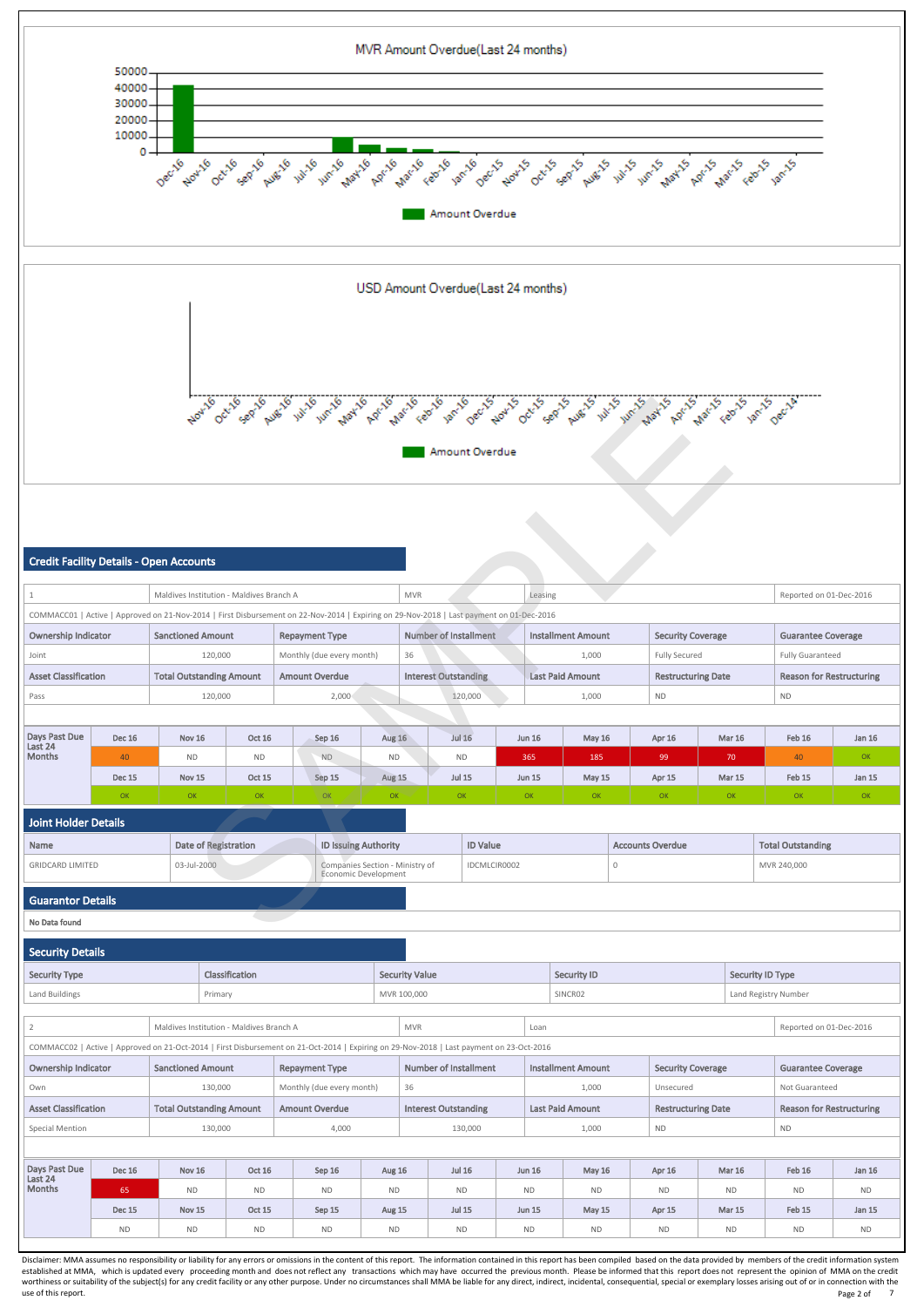

| North October huse in the land have a land was to see the secretary of the seat was in the way for the secretary of the contract of the contract of the contract of the contract of the contract of the contract of the contra                                         |                                                                                                                                                                                                                 |                                 |                             |                                          |                       |                           |                                                                |                       |                                                                                                                                          |  |               |                           |             |                           |               |               |                                 |           |
|------------------------------------------------------------------------------------------------------------------------------------------------------------------------------------------------------------------------------------------------------------------------|-----------------------------------------------------------------------------------------------------------------------------------------------------------------------------------------------------------------|---------------------------------|-----------------------------|------------------------------------------|-----------------------|---------------------------|----------------------------------------------------------------|-----------------------|------------------------------------------------------------------------------------------------------------------------------------------|--|---------------|---------------------------|-------------|---------------------------|---------------|---------------|---------------------------------|-----------|
| Amount Overdue                                                                                                                                                                                                                                                         |                                                                                                                                                                                                                 |                                 |                             |                                          |                       |                           |                                                                |                       |                                                                                                                                          |  |               |                           |             |                           |               |               |                                 |           |
|                                                                                                                                                                                                                                                                        |                                                                                                                                                                                                                 |                                 |                             |                                          |                       |                           |                                                                |                       |                                                                                                                                          |  |               |                           |             |                           |               |               |                                 |           |
| <b>Credit Facility Details - Open Accounts</b>                                                                                                                                                                                                                         |                                                                                                                                                                                                                 |                                 |                             |                                          |                       |                           |                                                                |                       |                                                                                                                                          |  |               |                           |             |                           |               |               |                                 |           |
| $\mathbf{1}$                                                                                                                                                                                                                                                           |                                                                                                                                                                                                                 |                                 |                             | Maldives Institution - Maldives Branch A |                       |                           |                                                                | <b>MVR</b>            |                                                                                                                                          |  | Leasing       |                           |             |                           |               |               | Reported on 01-Dec-2016         |           |
|                                                                                                                                                                                                                                                                        |                                                                                                                                                                                                                 |                                 |                             |                                          |                       |                           |                                                                |                       | COMMACC01   Active   Approved on 21-Nov-2014   First Disbursement on 22-Nov-2014   Expiring on 29-Nov-2018   Last payment on 01-Dec-2016 |  |               |                           |             |                           |               |               |                                 |           |
| <b>Ownership Indicator</b>                                                                                                                                                                                                                                             |                                                                                                                                                                                                                 | <b>Sanctioned Amount</b>        |                             |                                          | <b>Repayment Type</b> |                           |                                                                |                       | <b>Number of Installment</b>                                                                                                             |  |               | <b>Installment Amount</b> |             | <b>Security Coverage</b>  |               |               | <b>Guarantee Coverage</b>       |           |
| Joint                                                                                                                                                                                                                                                                  |                                                                                                                                                                                                                 |                                 |                             |                                          |                       |                           |                                                                | 36                    |                                                                                                                                          |  |               | 1,000                     |             |                           |               |               |                                 |           |
| Monthly (due every month)<br>Fully Secured<br><b>Fully Guaranteed</b><br>120,000<br><b>Last Paid Amount</b><br><b>Total Outstanding Amount</b><br><b>Amount Overdue</b><br><b>Interest Outstanding</b><br><b>Restructuring Date</b><br><b>Reason for Restructuring</b> |                                                                                                                                                                                                                 |                                 |                             |                                          |                       |                           |                                                                |                       |                                                                                                                                          |  |               |                           |             |                           |               |               |                                 |           |
| <b>Asset Classification</b><br><b>ND</b><br>120,000<br>2,000<br>120,000<br>1,000<br><b>ND</b>                                                                                                                                                                          |                                                                                                                                                                                                                 |                                 |                             |                                          |                       |                           |                                                                |                       |                                                                                                                                          |  |               |                           |             |                           |               |               |                                 |           |
| Pass                                                                                                                                                                                                                                                                   |                                                                                                                                                                                                                 |                                 |                             |                                          |                       |                           |                                                                |                       |                                                                                                                                          |  |               |                           |             |                           |               |               |                                 |           |
| Days Past Due                                                                                                                                                                                                                                                          | <b>Jul 16</b><br>Feb 16<br><b>Dec 16</b><br><b>Oct 16</b><br><b>Aug 16</b><br><b>Jun 16</b><br><b>May 16</b><br><b>Mar 16</b><br><b>Nov 16</b><br>Sep 16<br>Apr 16<br>Jan 16                                    |                                 |                             |                                          |                       |                           |                                                                |                       |                                                                                                                                          |  |               |                           |             |                           |               |               |                                 |           |
| Last 24<br>Months<br>OK<br>40<br><b>ND</b><br><b>ND</b><br>365<br>99<br>40<br><b>ND</b><br><b>ND</b><br><b>ND</b><br>185<br>70                                                                                                                                         |                                                                                                                                                                                                                 |                                 |                             |                                          |                       |                           |                                                                |                       |                                                                                                                                          |  |               |                           |             |                           |               |               |                                 |           |
|                                                                                                                                                                                                                                                                        | <b>Dec 15</b>                                                                                                                                                                                                   | <b>Nov 15</b>                   |                             | <b>Oct 15</b>                            |                       | Sep 15                    | <b>Aug 15</b>                                                  |                       | <b>Jul 15</b>                                                                                                                            |  | <b>Jun 15</b> | <b>May 15</b>             |             | Apr 15                    | <b>Mar 15</b> |               | Feb 15                          | Jan 15    |
|                                                                                                                                                                                                                                                                        | OK                                                                                                                                                                                                              | OK                              |                             | OK                                       |                       | OK                        | OK                                                             |                       | OK                                                                                                                                       |  | OK            | OK                        |             | OK                        |               | OK            | OK                              | OK        |
| <b>Joint Holder Details</b>                                                                                                                                                                                                                                            |                                                                                                                                                                                                                 |                                 |                             |                                          |                       |                           |                                                                |                       |                                                                                                                                          |  |               |                           |             |                           |               |               |                                 |           |
| Name                                                                                                                                                                                                                                                                   |                                                                                                                                                                                                                 |                                 | <b>Date of Registration</b> |                                          |                       |                           | <b>ID Issuing Authority</b>                                    |                       | <b>ID Value</b>                                                                                                                          |  |               |                           |             | <b>Accounts Overdue</b>   |               |               | <b>Total Outstanding</b>        |           |
| <b>GRIDCARD LIMITED</b>                                                                                                                                                                                                                                                |                                                                                                                                                                                                                 |                                 | 03-Jul-2000                 |                                          |                       |                           | Companies Section - Ministry of<br><b>Economic Development</b> |                       | IDCMLCIR0002                                                                                                                             |  |               |                           | $\mathbf 0$ |                           |               |               | MVR 240,000                     |           |
| <b>Guarantor Details</b>                                                                                                                                                                                                                                               |                                                                                                                                                                                                                 |                                 |                             |                                          |                       |                           |                                                                |                       |                                                                                                                                          |  |               |                           |             |                           |               |               |                                 |           |
| No Data found                                                                                                                                                                                                                                                          |                                                                                                                                                                                                                 |                                 |                             |                                          |                       |                           |                                                                |                       |                                                                                                                                          |  |               |                           |             |                           |               |               |                                 |           |
| <b>Security Details</b>                                                                                                                                                                                                                                                |                                                                                                                                                                                                                 |                                 |                             |                                          |                       |                           |                                                                |                       |                                                                                                                                          |  |               |                           |             |                           |               |               |                                 |           |
| <b>Security Type</b>                                                                                                                                                                                                                                                   |                                                                                                                                                                                                                 |                                 |                             | Classification                           |                       |                           |                                                                | <b>Security Value</b> |                                                                                                                                          |  |               | <b>Security ID</b>        |             |                           |               |               | <b>Security ID Type</b>         |           |
| Land Buildings                                                                                                                                                                                                                                                         |                                                                                                                                                                                                                 |                                 | Primary                     |                                          |                       |                           |                                                                | MVR 100,000           |                                                                                                                                          |  |               | SINCR02                   |             |                           |               |               | Land Registry Number            |           |
| $\overline{2}$                                                                                                                                                                                                                                                         |                                                                                                                                                                                                                 |                                 |                             | Maldives Institution - Maldives Branch A |                       |                           |                                                                | <b>MVR</b>            |                                                                                                                                          |  | Loan          |                           |             |                           |               |               | Reported on 01-Dec-2016         |           |
|                                                                                                                                                                                                                                                                        |                                                                                                                                                                                                                 |                                 |                             |                                          |                       |                           |                                                                |                       | COMMACC02   Active   Approved on 21-Oct-2014   First Disbursement on 21-Oct-2014   Expiring on 29-Nov-2018   Last payment on 23-Oct-2016 |  |               |                           |             |                           |               |               |                                 |           |
| <b>Ownership Indicator</b>                                                                                                                                                                                                                                             |                                                                                                                                                                                                                 | <b>Sanctioned Amount</b>        |                             |                                          | <b>Repayment Type</b> |                           |                                                                |                       | <b>Number of Installment</b>                                                                                                             |  |               | <b>Installment Amount</b> |             | <b>Security Coverage</b>  |               |               | <b>Guarantee Coverage</b>       |           |
| Own                                                                                                                                                                                                                                                                    |                                                                                                                                                                                                                 |                                 | 130,000                     |                                          |                       | Monthly (due every month) |                                                                | 36                    |                                                                                                                                          |  |               | 1,000                     |             | Unsecured                 |               |               | Not Guaranteed                  |           |
| <b>Asset Classification</b>                                                                                                                                                                                                                                            |                                                                                                                                                                                                                 | <b>Total Outstanding Amount</b> |                             |                                          | <b>Amount Overdue</b> |                           |                                                                |                       | <b>Interest Outstanding</b>                                                                                                              |  |               | <b>Last Paid Amount</b>   |             | <b>Restructuring Date</b> |               |               | <b>Reason for Restructuring</b> |           |
| Special Mention                                                                                                                                                                                                                                                        |                                                                                                                                                                                                                 |                                 | 130,000                     |                                          |                       | 4,000                     |                                                                |                       | 130,000                                                                                                                                  |  |               | 1,000                     |             | <b>ND</b>                 |               |               | <b>ND</b>                       |           |
|                                                                                                                                                                                                                                                                        |                                                                                                                                                                                                                 |                                 |                             |                                          |                       |                           |                                                                |                       |                                                                                                                                          |  |               |                           |             |                           |               |               |                                 |           |
| Days Past Due<br>Last 24                                                                                                                                                                                                                                               | <b>Dec 16</b>                                                                                                                                                                                                   | <b>Nov 16</b>                   |                             | Oct 16                                   |                       | Sep 16                    | <b>Aug 16</b>                                                  |                       | <b>Jul 16</b>                                                                                                                            |  | <b>Jun 16</b> | <b>May 16</b>             |             | Apr 16                    |               | <b>Mar 16</b> | Feb 16                          | Jan 16    |
| <b>Months</b>                                                                                                                                                                                                                                                          | 65                                                                                                                                                                                                              |                                 |                             | <b>ND</b>                                |                       | <b>ND</b>                 |                                                                |                       | <b>ND</b>                                                                                                                                |  |               | <b>ND</b>                 |             | <b>ND</b>                 |               |               | <b>ND</b>                       | <b>ND</b> |
|                                                                                                                                                                                                                                                                        | <b>ND</b><br><b>ND</b><br><b>ND</b><br><b>ND</b><br><b>Jul 15</b><br>Feb 15<br>Jan 15<br><b>Dec 15</b><br><b>Nov 15</b><br><b>Oct 15</b><br>Sep 15<br><b>Jun 15</b><br><b>May 15</b><br>Apr 15<br><b>Mar 15</b> |                                 |                             |                                          |                       |                           |                                                                |                       |                                                                                                                                          |  |               |                           |             |                           |               |               |                                 |           |
| <b>Aug 15</b><br><b>ND</b><br><b>ND</b><br><b>ND</b><br><b>ND</b><br><b>ND</b><br><b>ND</b><br><b>ND</b><br><b>ND</b><br><b>ND</b><br><b>ND</b><br><b>ND</b><br><b>ND</b>                                                                                              |                                                                                                                                                                                                                 |                                 |                             |                                          |                       |                           |                                                                |                       |                                                                                                                                          |  |               |                           |             |                           |               |               |                                 |           |

established at MMA, which is updated every proceeding month and does not reflect any transactions which may have occurred the previous month. Please be informed that this report does not represent the opinion of MMA on the worthiness or suitability of the subject(s) for any credit facility or any other purpose. Under no circumstances shall MMA be liable for any direct, indirect, incidental, consequential, special or exemplary losses arising use of this report. Notice that the control of the control of the control of the control of the control of the control of the control of the control of the control of the control of the control of the control of the contro Page 2 of 7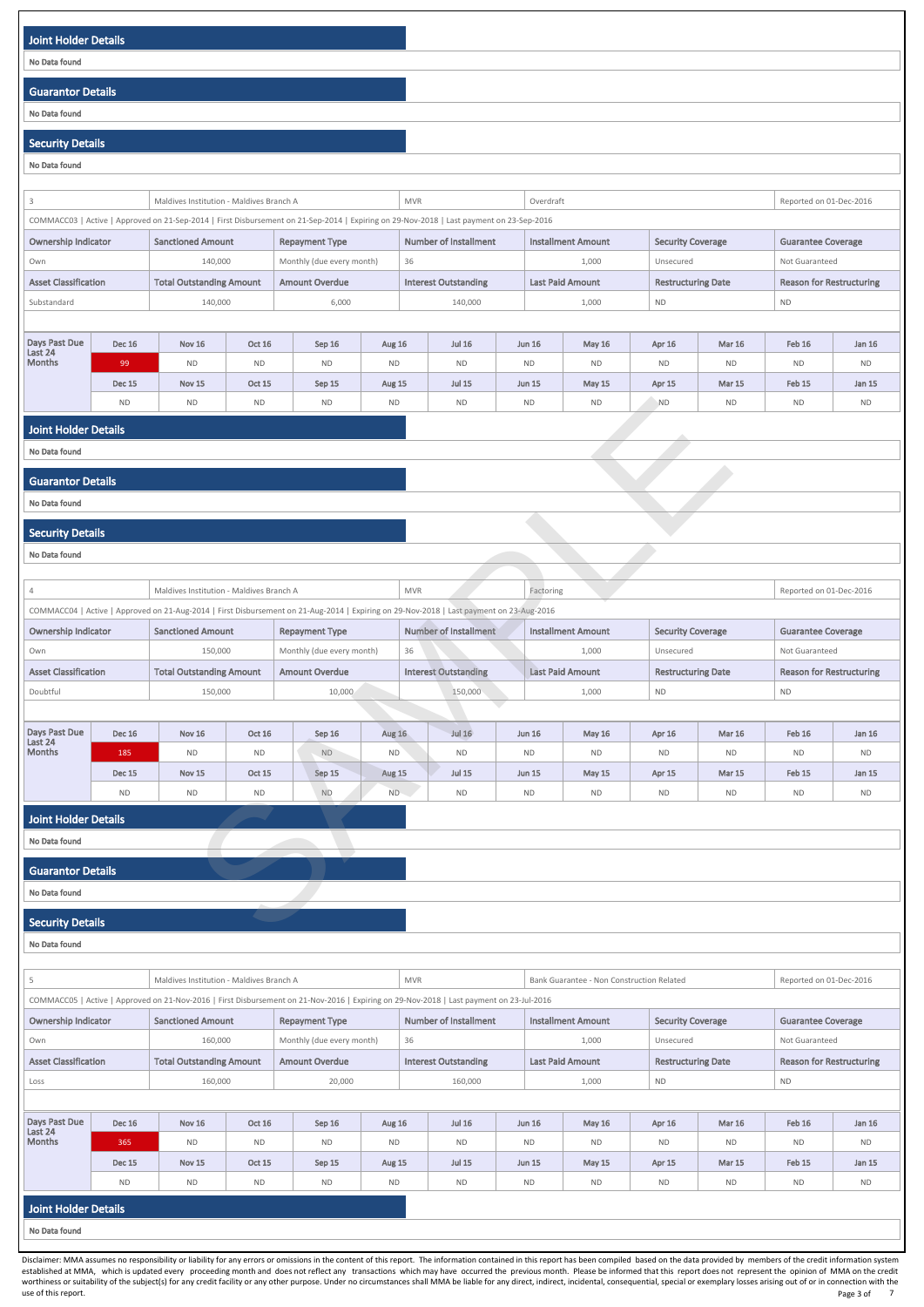| Joint Holder Details     |  |
|--------------------------|--|
| No Data found            |  |
|                          |  |
| <b>Guarantor Details</b> |  |
| No Data found            |  |
|                          |  |

# Security Details

| No Data found                            |                                                                                                                                                                                                       |                                          |                     |                           |                     |                                                                                                                                                                          |  |                            |                            |                           |                            |                                 |                                 |  |
|------------------------------------------|-------------------------------------------------------------------------------------------------------------------------------------------------------------------------------------------------------|------------------------------------------|---------------------|---------------------------|---------------------|--------------------------------------------------------------------------------------------------------------------------------------------------------------------------|--|----------------------------|----------------------------|---------------------------|----------------------------|---------------------------------|---------------------------------|--|
| 3                                        |                                                                                                                                                                                                       | Maldives Institution - Maldives Branch A |                     |                           |                     | <b>MVR</b>                                                                                                                                                               |  | Overdraft                  |                            |                           |                            | Reported on 01-Dec-2016         |                                 |  |
|                                          |                                                                                                                                                                                                       |                                          |                     |                           |                     | COMMACC03   Active   Approved on 21-Sep-2014   First Disbursement on 21-Sep-2014   Expiring on 29-Nov-2018   Last payment on 23-Sep-2016                                 |  |                            |                            |                           |                            |                                 |                                 |  |
|                                          | <b>Sanctioned Amount</b><br><b>Number of Installment</b><br><b>Installment Amount</b><br><b>Ownership Indicator</b><br><b>Repayment Type</b><br><b>Security Coverage</b><br><b>Guarantee Coverage</b> |                                          |                     |                           |                     |                                                                                                                                                                          |  |                            |                            |                           |                            |                                 |                                 |  |
| Own                                      |                                                                                                                                                                                                       | 140,000                                  |                     | Monthly (due every month) |                     | 36                                                                                                                                                                       |  |                            | 1,000                      | Unsecured                 |                            | Not Guaranteed                  |                                 |  |
| <b>Asset Classification</b>              |                                                                                                                                                                                                       | <b>Total Outstanding Amount</b>          |                     | <b>Amount Overdue</b>     |                     | <b>Interest Outstanding</b>                                                                                                                                              |  |                            | <b>Last Paid Amount</b>    | <b>Restructuring Date</b> |                            | <b>Reason for Restructuring</b> |                                 |  |
| Substandard                              |                                                                                                                                                                                                       | 140,000                                  |                     | 6,000                     |                     | 140,000                                                                                                                                                                  |  |                            | 1,000                      | <b>ND</b>                 |                            | <b>ND</b>                       |                                 |  |
|                                          |                                                                                                                                                                                                       |                                          |                     |                           |                     |                                                                                                                                                                          |  |                            |                            |                           |                            |                                 |                                 |  |
| Days Past Due<br>Last 24                 | <b>Dec 16</b>                                                                                                                                                                                         | <b>Nov 16</b>                            | <b>Oct 16</b>       | Sep 16                    | Aug 16              | <b>Jul 16</b>                                                                                                                                                            |  | <b>Jun 16</b>              | <b>May 16</b>              | Apr 16                    | <b>Mar 16</b>              | <b>Feb 16</b>                   | Jan 16                          |  |
| <b>Months</b>                            | 99                                                                                                                                                                                                    | <b>ND</b>                                | <b>ND</b>           | <b>ND</b>                 | $\sf ND$            | <b>ND</b>                                                                                                                                                                |  | <b>ND</b>                  | $\sf ND$                   | <b>ND</b>                 | <b>ND</b>                  | <b>ND</b>                       | <b>ND</b>                       |  |
|                                          | <b>Dec 15</b><br><b>ND</b>                                                                                                                                                                            | <b>Nov 15</b><br><b>ND</b>               | Oct 15<br><b>ND</b> | Sep 15<br><b>ND</b>       | Aug 15<br><b>ND</b> | <b>Jul 15</b><br><b>ND</b>                                                                                                                                               |  | <b>Jun 15</b><br><b>ND</b> | <b>May 15</b><br><b>ND</b> | Apr 15<br><b>ND</b>       | <b>Mar 15</b><br><b>ND</b> | Feb 15<br><b>ND</b>             | Jan 15<br><b>ND</b>             |  |
|                                          |                                                                                                                                                                                                       |                                          |                     |                           |                     |                                                                                                                                                                          |  |                            |                            |                           |                            |                                 |                                 |  |
| <b>Joint Holder Details</b>              |                                                                                                                                                                                                       |                                          |                     |                           |                     |                                                                                                                                                                          |  |                            |                            |                           |                            |                                 |                                 |  |
| No Data found                            |                                                                                                                                                                                                       |                                          |                     |                           |                     |                                                                                                                                                                          |  |                            |                            |                           |                            |                                 |                                 |  |
| <b>Guarantor Details</b>                 |                                                                                                                                                                                                       |                                          |                     |                           |                     |                                                                                                                                                                          |  |                            |                            |                           |                            |                                 |                                 |  |
| No Data found                            |                                                                                                                                                                                                       |                                          |                     |                           |                     |                                                                                                                                                                          |  |                            |                            |                           |                            |                                 |                                 |  |
| <b>Security Details</b>                  |                                                                                                                                                                                                       |                                          |                     |                           |                     |                                                                                                                                                                          |  |                            |                            |                           |                            |                                 |                                 |  |
| No Data found                            |                                                                                                                                                                                                       |                                          |                     |                           |                     |                                                                                                                                                                          |  |                            |                            |                           |                            |                                 |                                 |  |
|                                          |                                                                                                                                                                                                       |                                          |                     |                           |                     |                                                                                                                                                                          |  |                            |                            |                           |                            |                                 |                                 |  |
| 4                                        |                                                                                                                                                                                                       | Maldives Institution - Maldives Branch A |                     |                           |                     | <b>MVR</b>                                                                                                                                                               |  | Factoring                  |                            |                           |                            | Reported on 01-Dec-2016         |                                 |  |
| <b>Ownership Indicator</b>               |                                                                                                                                                                                                       | <b>Sanctioned Amount</b>                 |                     | <b>Repayment Type</b>     |                     | COMMACC04   Active   Approved on 21-Aug-2014   First Disbursement on 21-Aug-2014   Expiring on 29-Nov-2018   Last payment on 23-Aug-2016<br><b>Number of Installment</b> |  |                            | <b>Installment Amount</b>  | <b>Security Coverage</b>  |                            | <b>Guarantee Coverage</b>       |                                 |  |
| Own                                      |                                                                                                                                                                                                       | 150,000                                  |                     | Monthly (due every month) |                     | 36<br>1,000                                                                                                                                                              |  |                            | Unsecured                  |                           | Not Guaranteed             |                                 |                                 |  |
| <b>Asset Classification</b>              |                                                                                                                                                                                                       | <b>Total Outstanding Amount</b>          |                     | <b>Amount Overdue</b>     |                     | <b>Interest Outstanding</b>                                                                                                                                              |  |                            | <b>Last Paid Amount</b>    |                           | <b>Restructuring Date</b>  |                                 | <b>Reason for Restructuring</b> |  |
| Doubtful                                 |                                                                                                                                                                                                       | 150,000                                  |                     | 10,000                    |                     | 150,000                                                                                                                                                                  |  |                            | 1,000                      | <b>ND</b>                 |                            | $\sf ND$                        |                                 |  |
|                                          |                                                                                                                                                                                                       |                                          |                     |                           |                     |                                                                                                                                                                          |  |                            |                            |                           |                            |                                 |                                 |  |
| Days Past Due<br>Last 24                 | <b>Dec 16</b>                                                                                                                                                                                         | <b>Nov 16</b>                            | <b>Oct 16</b>       | Sep 16                    | Aug 16              | Jul $16$                                                                                                                                                                 |  | <b>Jun 16</b>              | <b>May 16</b>              | Apr 16                    | <b>Mar 16</b>              | <b>Feb 16</b>                   | Jan 16                          |  |
| Months                                   | 185                                                                                                                                                                                                   | <b>ND</b>                                | <b>ND</b>           | ND                        | ND                  | <b>ND</b>                                                                                                                                                                |  | $\sf ND$                   | <b>ND</b>                  | <b>ND</b>                 | <b>ND</b>                  | <b>ND</b>                       | <b>ND</b>                       |  |
|                                          | <b>Dec 15</b>                                                                                                                                                                                         | <b>Nov 15</b>                            | <b>Oct 15</b>       | Sep 15                    | Aug 15              | <b>Jul 15</b>                                                                                                                                                            |  | <b>Jun 15</b>              | <b>May 15</b>              | Apr 15                    | <b>Mar 15</b>              | Feb 15                          | <b>Jan 15</b>                   |  |
|                                          | <b>ND</b>                                                                                                                                                                                             | <b>ND</b>                                | $\sf ND$            | $\sf ND$                  | ND.                 | <b>ND</b>                                                                                                                                                                |  | <b>ND</b>                  | <b>ND</b>                  | <b>ND</b>                 | <b>ND</b>                  | $\sf ND$                        | <b>ND</b>                       |  |
| <b>Joint Holder Details</b>              |                                                                                                                                                                                                       |                                          |                     |                           |                     |                                                                                                                                                                          |  |                            |                            |                           |                            |                                 |                                 |  |
| No Data found                            |                                                                                                                                                                                                       |                                          |                     |                           |                     |                                                                                                                                                                          |  |                            |                            |                           |                            |                                 |                                 |  |
| <b>Guarantor Details</b>                 |                                                                                                                                                                                                       |                                          |                     |                           |                     |                                                                                                                                                                          |  |                            |                            |                           |                            |                                 |                                 |  |
| No Data found                            |                                                                                                                                                                                                       |                                          |                     |                           |                     |                                                                                                                                                                          |  |                            |                            |                           |                            |                                 |                                 |  |
|                                          |                                                                                                                                                                                                       |                                          |                     |                           |                     |                                                                                                                                                                          |  |                            |                            |                           |                            |                                 |                                 |  |
|                                          |                                                                                                                                                                                                       |                                          |                     |                           |                     |                                                                                                                                                                          |  |                            |                            |                           |                            |                                 |                                 |  |
| <b>Security Details</b><br>No Data found |                                                                                                                                                                                                       |                                          |                     |                           |                     |                                                                                                                                                                          |  |                            |                            |                           |                            |                                 |                                 |  |

| -5                          |                                                                                                                                                                                                       | Maldives Institution - Maldives Branch A |               |                           | <b>MVR</b>    |    | Reported on 01-Dec-2016     |  |               |                         |                           |               |                |                                 |  |
|-----------------------------|-------------------------------------------------------------------------------------------------------------------------------------------------------------------------------------------------------|------------------------------------------|---------------|---------------------------|---------------|----|-----------------------------|--|---------------|-------------------------|---------------------------|---------------|----------------|---------------------------------|--|
|                             | COMMACC05   Active   Approved on 21-Nov-2016   First Disbursement on 21-Nov-2016   Expiring on 29-Nov-2018   Last payment on 23-Jul-2016                                                              |                                          |               |                           |               |    |                             |  |               |                         |                           |               |                |                                 |  |
|                             | <b>Ownership Indicator</b><br><b>Number of Installment</b><br><b>Installment Amount</b><br><b>Sanctioned Amount</b><br><b>Security Coverage</b><br><b>Guarantee Coverage</b><br><b>Repayment Type</b> |                                          |               |                           |               |    |                             |  |               |                         |                           |               |                |                                 |  |
| Own                         |                                                                                                                                                                                                       | 160,000                                  |               | Monthly (due every month) |               | 36 |                             |  |               | 1,000                   | Unsecured                 |               | Not Guaranteed |                                 |  |
| <b>Asset Classification</b> |                                                                                                                                                                                                       | <b>Total Outstanding Amount</b>          |               | <b>Amount Overdue</b>     |               |    | <b>Interest Outstanding</b> |  |               | <b>Last Paid Amount</b> | <b>Restructuring Date</b> |               |                | <b>Reason for Restructuring</b> |  |
| Loss                        |                                                                                                                                                                                                       | 160,000                                  |               | 20,000                    |               |    | 160,000                     |  |               | 1,000                   | <b>ND</b>                 |               | <b>ND</b>      |                                 |  |
|                             |                                                                                                                                                                                                       |                                          |               |                           |               |    |                             |  |               |                         |                           |               |                |                                 |  |
| Days Past Due<br>Last 24    | <b>Dec 16</b>                                                                                                                                                                                         | <b>Nov 16</b>                            | Oct 16        | Sep 16                    | Aug 16        |    | <b>Jul 16</b>               |  | <b>Jun 16</b> | May 16                  | Apr 16                    | <b>Mar 16</b> | Feb 16         | Jan 16                          |  |
| <b>Months</b>               | 365                                                                                                                                                                                                   | <b>ND</b>                                | <b>ND</b>     | <b>ND</b>                 | <b>ND</b>     |    | <b>ND</b>                   |  | <b>ND</b>     | <b>ND</b>               | <b>ND</b>                 | <b>ND</b>     | <b>ND</b>      | <b>ND</b>                       |  |
|                             | <b>Dec 15</b>                                                                                                                                                                                         | <b>Nov 15</b>                            | <b>Oct 15</b> | Sep 15                    | <b>Aug 15</b> |    | <b>Jul 15</b>               |  | <b>Jun 15</b> | May $15$                | Apr 15                    | <b>Mar 15</b> | Feb 15         | Jan 15                          |  |
|                             | <b>ND</b>                                                                                                                                                                                             | <b>ND</b>                                | <b>ND</b>     | <b>ND</b>                 | <b>ND</b>     |    | <b>ND</b>                   |  | <b>ND</b>     | <b>ND</b>               | <b>ND</b>                 | <b>ND</b>     | <b>ND</b>      | <b>ND</b>                       |  |
|                             | <b>Joint Holder Details</b>                                                                                                                                                                           |                                          |               |                           |               |    |                             |  |               |                         |                           |               |                |                                 |  |
| No Data found               |                                                                                                                                                                                                       |                                          |               |                           |               |    |                             |  |               |                         |                           |               |                |                                 |  |

1

Disclaimer: MMA assumes no responsibility or liability for any errors or omissions in the content of this report. The information contained in this report has been compiled based on the data provided by members of the cred established at MMA, which is updated every proceeding month and does not reflect any transactions which may have occurred the previous month. Please be informed that this report does not represent the opinion of MMA on the worthiness or suitability of the subject(s) for any credit facility or any other purpose. Under no circumstances shall MMA be liable for any direct, indirect, incidental, consequential, special or exemplary losses arising use of this report. Note that the control of this report. The control of this report. Page 3 of Page 3 of 7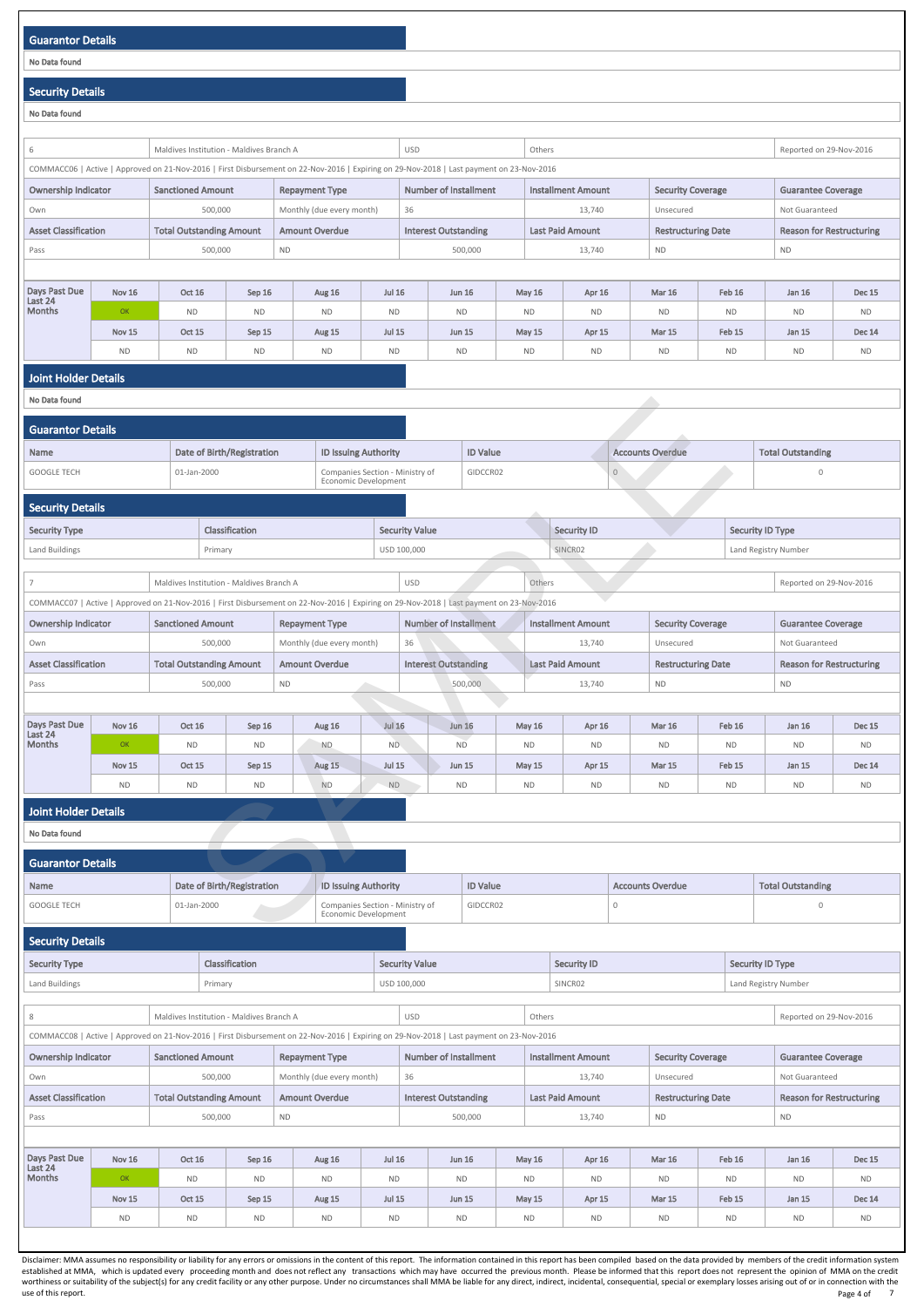# Guarantor Details No Data found Security Details No Data found 6 Maldives Institution - Maldives Branch A VSD USD Others Reported on 29-Nov-2016 COMMACC06 | Active | Approved on 21-Nov-2016 | First Disbursement on 22-Nov-2016 | Expiring on 29-Nov-2018 | Last payment on 23-Nov-2016 Ownership Indicator | Sanctioned Amount | Repayment Type | Number of Installment | Installment Amount | Security Coverage | Guarantee Coverage Own **500,000** Monthly (due every month) 36 13,740 Unsecured Not Guaranteed Not Guaranteed Asset Classification | Total Outstanding Amount | Amount Overdue | Interest Outstanding | Last Paid Amount | Restructuring Date | Reason for Restructuring Pass 600,000 ND 500,000 ND 500,000 500,000 ND 500,000 13,740 ND ND ND ND Days Past Due Last 24 Months Nov 16 | Oct 16 | Sep 16 | Aug 16 | Jul 16 | Jun 16 | May 16 | Apr 16 | Mar 16 | Feb 16 | Jan 16 | Dec 15 OK ND ND ND ND ND ND ND ND ND ND ND Nov 15 | Oct 15 | Sep 15 | Aug 15 | Jul 15 | Jun 15 | May 15 | Apr 15 | Mar 15 | Feb 15 | Jan 15 | Dec 14 ND ND ND ND ND ND ND ND ND ND ND ND Joint Holder Details No Data found Guarantor Details Name **Date of Birth/Registration** ID Issuing Authority **ID Value** Accounts Overdue Total Outstanding GOOGLE TECH 01-Jan-2000 Companies Section - Ministry of Economic Development GIDCCR02 0 0 Security Details Security Type Security ID Type Security Value Security Value Security Value Security ID Security ID Type Security ID Type Land Buildings **Primary Primary Primary Primary Primary Primary Primary Primary Primary Primary Primary Primary** USD 100,000 SINCR02 SINCR02 Land Registry Number **7** Maldives Institution - Maldives Branch A USD USD Others Reported on 29-Nov-2016 COMMACC07 | Active | Approved on 21-Nov-2016 | First Disbursement on 22-Nov-2016 | Expiring on 29-Nov-2018 | Last payment on 23-Nov-2016 Ownership Indicator Sanctioned Amount Repayment Type Number of Installment Installment Amount Security Coverage Guarantee Coverage Own 3500,000 Monthly (due every month) 36 13,740 13,740 Unsecured Not Guaranteed Asset Classification | Total Outstanding Amount | Amount Overdue | Interest Outstanding | Last Paid Amount | Restructuring Date | Reason for Restructuring Pass 600,000 ND 500,000 ND 500,000 500,000 13,740 ND 500,000 ND D Days Past Due Last 24 Months Nov 16 Oct 16 Sep 16 Aug 16 Jul 16 Jun 16 May 16 Apr 16 Mar 16 Feb 16 Jan 16 Dec 15 OK ND ND ND ND ND ND ND ND ND ND ND Nov 15 Oct 15 Sep 15 Aug 15 Jul 15 Jun 15 May 15 Apr 15 Mar 15 Feb 15 Jan 15 Dec 14 ND ND ND ND ND ND ND ND ND ND ND ND Joint Holder Details No Data found Guarantor Details Name **Date of Birth/Registration** ID Issuing Authority **ID Value** ID Value **Accounts Overdue** Total Outstanding GOOGLE TECH 01-Jan-2000 Companies Section - Ministry of Economic Development GIDCCR02 0 0 Security Details Security Type Security Type Security ID Type Security Value Security Value Security ID Security ID Security ID Type and Starty Registration<br>
SAMPLE IN THE CONTROL SCRIP (SCRIP CONTROL)<br>
SAMPLE IN THE DESCRIPT (SCRIP CONTROL)<br>
SAMPLE CONTROL SCRIPT (SCRIP CONTROL)<br>
SAMPLE CONTROL SCRIPT (SCRIP CONTROL)<br>
SAMPLE CONTROL SCRIPT (SCRIP CONTR

| Land Buildings                                                                                                                                                                                 | Primary                                                   |                                          |                           |               | USD 100,000<br>SINCR02<br>Land Registry Number |                                                                                                                                          |  |               |                         |                           |                |                         |                                 |
|------------------------------------------------------------------------------------------------------------------------------------------------------------------------------------------------|-----------------------------------------------------------|------------------------------------------|---------------------------|---------------|------------------------------------------------|------------------------------------------------------------------------------------------------------------------------------------------|--|---------------|-------------------------|---------------------------|----------------|-------------------------|---------------------------------|
|                                                                                                                                                                                                |                                                           |                                          |                           |               |                                                |                                                                                                                                          |  |               |                         |                           |                |                         |                                 |
| 8                                                                                                                                                                                              |                                                           | Maldives Institution - Maldives Branch A |                           |               |                                                | <b>USD</b>                                                                                                                               |  | Others        |                         |                           |                | Reported on 29-Nov-2016 |                                 |
|                                                                                                                                                                                                |                                                           |                                          |                           |               |                                                | COMMACC08   Active   Approved on 21-Nov-2016   First Disbursement on 22-Nov-2016   Expiring on 29-Nov-2018   Last payment on 23-Nov-2016 |  |               |                         |                           |                |                         |                                 |
| <b>Ownership Indicator</b><br>Number of Installment<br><b>Sanctioned Amount</b><br><b>Installment Amount</b><br><b>Repayment Type</b><br><b>Security Coverage</b><br><b>Guarantee Coverage</b> |                                                           |                                          |                           |               |                                                |                                                                                                                                          |  |               |                         |                           |                |                         |                                 |
| Own                                                                                                                                                                                            |                                                           | 500,000                                  | Monthly (due every month) |               | 36                                             |                                                                                                                                          |  | 13,740        | Unsecured               |                           | Not Guaranteed |                         |                                 |
| <b>Asset Classification</b><br><b>Total Outstanding Amount</b><br><b>Amount Overdue</b>                                                                                                        |                                                           |                                          |                           |               |                                                | <b>Interest Outstanding</b>                                                                                                              |  |               | <b>Last Paid Amount</b> | <b>Restructuring Date</b> |                |                         | <b>Reason for Restructuring</b> |
| Pass                                                                                                                                                                                           |                                                           | 500,000                                  |                           | <b>ND</b>     |                                                | 500,000                                                                                                                                  |  |               | 13,740                  | <b>ND</b>                 |                | <b>ND</b>               |                                 |
|                                                                                                                                                                                                |                                                           |                                          |                           |               |                                                |                                                                                                                                          |  |               |                         |                           |                |                         |                                 |
| Days Past Due                                                                                                                                                                                  | <b>Nov 16</b>                                             | <b>Oct 16</b>                            | Sep 16                    | <b>Aug 16</b> | <b>Jul 16</b>                                  | <b>Jun 16</b>                                                                                                                            |  | May $16$      | Apr 16                  | <b>Mar 16</b>             | Feb 16         | Jan 16                  | <b>Dec 15</b>                   |
| Last 24<br><b>Months</b>                                                                                                                                                                       | OK                                                        | <b>ND</b>                                | <b>ND</b>                 | <b>ND</b>     | <b>ND</b>                                      | <b>ND</b>                                                                                                                                |  | <b>ND</b>     | <b>ND</b>               | <b>ND</b>                 | <b>ND</b>      | <b>ND</b>               | <b>ND</b>                       |
|                                                                                                                                                                                                | <b>Oct 15</b><br><b>Nov 15</b><br>Sep 15<br><b>Aug 15</b> |                                          |                           |               | <b>Jul 15</b>                                  | <b>Jun 15</b>                                                                                                                            |  | <b>May 15</b> | Apr 15                  | <b>Mar 15</b>             | Feb 15         | Jan 15                  | <b>Dec 14</b>                   |
|                                                                                                                                                                                                | <b>ND</b><br><b>ND</b><br><b>ND</b><br><b>ND</b>          |                                          |                           |               |                                                | <b>ND</b><br><b>ND</b>                                                                                                                   |  | <b>ND</b>     | <b>ND</b>               | <b>ND</b>                 | <b>ND</b>      | <b>ND</b>               | <b>ND</b>                       |
|                                                                                                                                                                                                |                                                           |                                          |                           |               |                                                |                                                                                                                                          |  |               |                         |                           |                |                         |                                 |

Disclaimer: MMA assumes no responsibility or liability for any errors or omissions in the content of this report. The information contained in this report has been compiled based on the data provided by members of the cred established at MMA, which is updated every proceeding month and does not reflect any transactions which may have occurred the previous month. Please be informed that this report does not represent the opinion of MMA on the worthiness or suitability of the subject(s) for any credit facility or any other purpose. Under no circumstances shall MMA be liable for any direct, indirect, incidental, consequential, special or exemplary losses arising use of this report. Note that the control of this report. The control of this report. Page 4 of Page 4 of 7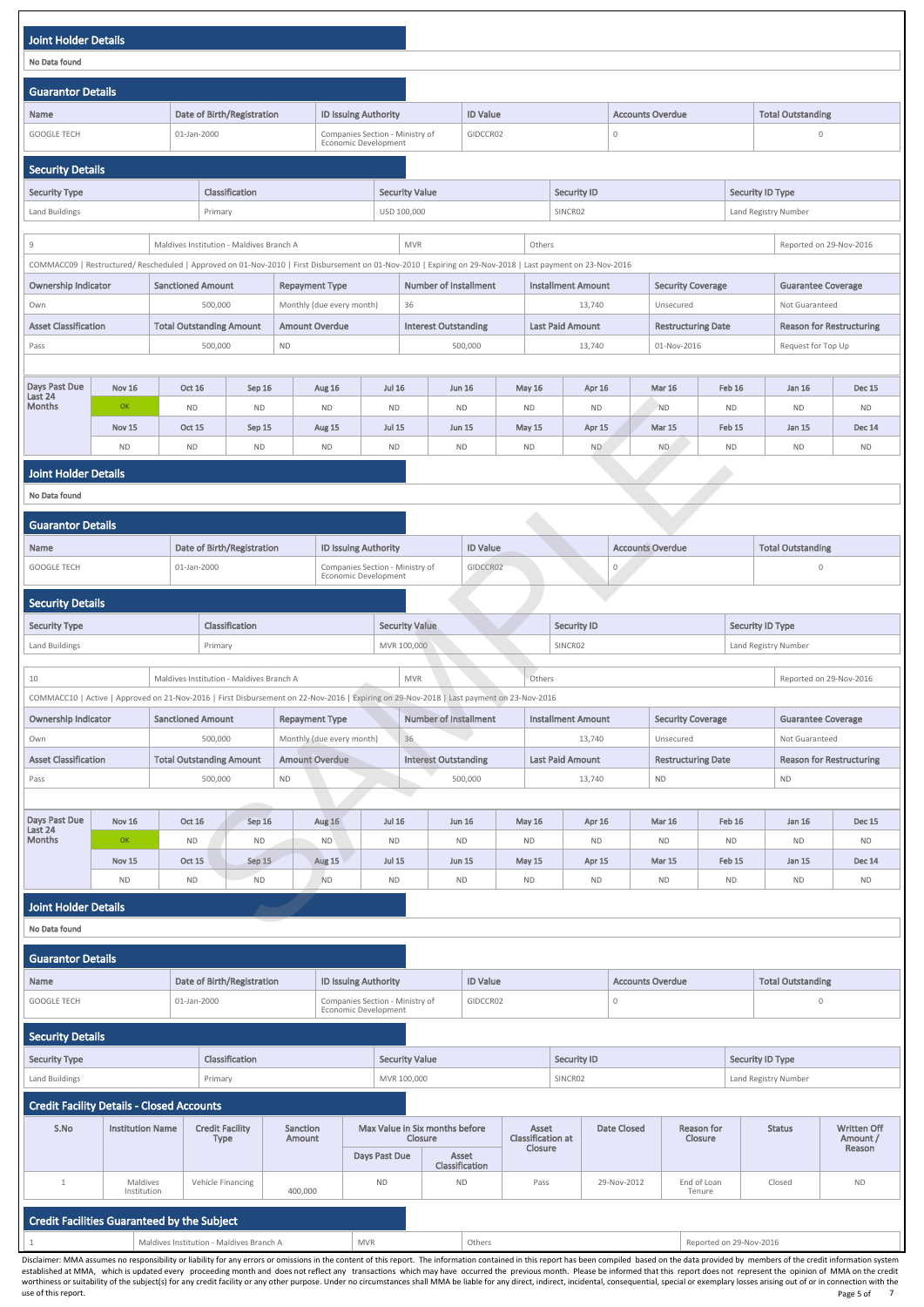| <b>Joint Holder Details</b>        |                     |                                                                                                                                                                                                         |                     |                       |                                                         |                            |                              |                 |                            |        |                            |              |                            |                     |                                 |                            |
|------------------------------------|---------------------|---------------------------------------------------------------------------------------------------------------------------------------------------------------------------------------------------------|---------------------|-----------------------|---------------------------------------------------------|----------------------------|------------------------------|-----------------|----------------------------|--------|----------------------------|--------------|----------------------------|---------------------|---------------------------------|----------------------------|
| No Data found                      |                     |                                                                                                                                                                                                         |                     |                       |                                                         |                            |                              |                 |                            |        |                            |              |                            |                     |                                 |                            |
| <b>Guarantor Details</b>           |                     |                                                                                                                                                                                                         |                     |                       |                                                         |                            |                              |                 |                            |        |                            |              |                            |                     |                                 |                            |
| <b>Name</b>                        |                     | Date of Birth/Registration                                                                                                                                                                              |                     |                       | <b>ID Issuing Authority</b>                             |                            |                              | <b>ID Value</b> |                            |        |                            |              | <b>Accounts Overdue</b>    |                     | <b>Total Outstanding</b>        |                            |
| <b>GOOGLE TECH</b>                 |                     | 01-Jan-2000                                                                                                                                                                                             |                     |                       | Companies Section - Ministry of<br>Economic Development |                            |                              | GIDCCR02        |                            |        |                            | $\mathbf 0$  |                            |                     | $\mathbf 0$                     |                            |
| <b>Security Details</b>            |                     |                                                                                                                                                                                                         |                     |                       |                                                         |                            |                              |                 |                            |        |                            |              |                            |                     |                                 |                            |
| <b>Security Type</b>               |                     |                                                                                                                                                                                                         | Classification      |                       |                                                         |                            | <b>Security Value</b>        |                 |                            |        | <b>Security ID</b>         |              |                            |                     | <b>Security ID Type</b>         |                            |
| Land Buildings                     |                     | Primary                                                                                                                                                                                                 |                     |                       |                                                         |                            | USD 100,000                  |                 |                            |        | SINCR02                    |              |                            |                     | Land Registry Number            |                            |
|                                    |                     |                                                                                                                                                                                                         |                     |                       |                                                         |                            |                              |                 |                            |        |                            |              |                            |                     |                                 |                            |
| 9                                  |                     | Maldives Institution - Maldives Branch A<br>COMMACC09   Restructured/ Rescheduled   Approved on 01-Nov-2010   First Disbursement on 01-Nov-2010   Expiring on 29-Nov-2018   Last payment on 23-Nov-2016 |                     |                       |                                                         |                            | <b>MVR</b>                   |                 |                            | Others |                            |              |                            |                     | Reported on 29-Nov-2016         |                            |
| <b>Ownership Indicator</b>         |                     | <b>Sanctioned Amount</b>                                                                                                                                                                                |                     | <b>Repayment Type</b> |                                                         |                            | <b>Number of Installment</b> |                 |                            |        | <b>Installment Amount</b>  |              | <b>Security Coverage</b>   |                     | <b>Guarantee Coverage</b>       |                            |
| Own                                |                     | 500,000                                                                                                                                                                                                 |                     |                       | Monthly (due every month)                               |                            | 36                           |                 |                            |        | 13,740                     |              | Unsecured                  |                     | Not Guaranteed                  |                            |
| <b>Asset Classification</b>        |                     | <b>Total Outstanding Amount</b>                                                                                                                                                                         |                     | <b>Amount Overdue</b> |                                                         |                            | <b>Interest Outstanding</b>  |                 |                            |        | <b>Last Paid Amount</b>    |              | <b>Restructuring Date</b>  |                     | <b>Reason for Restructuring</b> |                            |
| Pass                               |                     | 500,000                                                                                                                                                                                                 |                     | <b>ND</b>             |                                                         |                            |                              | 500,000         |                            |        | 13,740                     |              | 01-Nov-2016                |                     | Request for Top Up              |                            |
|                                    |                     |                                                                                                                                                                                                         |                     |                       |                                                         |                            |                              |                 |                            |        |                            |              |                            |                     |                                 |                            |
| Days Past Due<br>Last 24<br>Months | <b>Nov 16</b><br>OK | <b>Oct 16</b><br><b>ND</b>                                                                                                                                                                              | Sep 16<br><b>ND</b> |                       | Aug 16<br><b>ND</b>                                     | <b>Jul 16</b><br><b>ND</b> | <b>ND</b>                    | <b>Jun 16</b>   | <b>May 16</b><br><b>ND</b> |        | <b>Apr 16</b><br><b>ND</b> |              | <b>Mar 16</b><br><b>ND</b> | Feb 16<br><b>ND</b> | Jan 16<br><b>ND</b>             | <b>Dec 15</b><br><b>ND</b> |
|                                    | Nov 15              | <b>Oct 15</b>                                                                                                                                                                                           | Sep 15              |                       | Aug 15                                                  | <b>Jul 15</b>              | <b>Jun 15</b>                |                 | <b>May 15</b>              |        | Apr 15                     |              | <b>Mar 15</b>              | Feb 15              | <b>Jan 15</b>                   | <b>Dec 14</b>              |
|                                    | <b>ND</b>           | <b>ND</b>                                                                                                                                                                                               | <b>ND</b>           |                       | <b>ND</b>                                               | <b>ND</b>                  |                              | <b>ND</b>       | <b>ND</b>                  |        | <b>ND</b>                  |              | <b>ND</b>                  | <b>ND</b>           | <b>ND</b>                       | <b>ND</b>                  |
| <b>Joint Holder Details</b>        |                     |                                                                                                                                                                                                         |                     |                       |                                                         |                            |                              |                 |                            |        |                            |              |                            |                     |                                 |                            |
| No Data found                      |                     |                                                                                                                                                                                                         |                     |                       |                                                         |                            |                              |                 |                            |        |                            |              |                            |                     |                                 |                            |
| <b>Guarantor Details</b>           |                     |                                                                                                                                                                                                         |                     |                       |                                                         |                            |                              |                 |                            |        |                            |              |                            |                     |                                 |                            |
| <b>Name</b>                        |                     | Date of Birth/Registration                                                                                                                                                                              |                     |                       | <b>ID Issuing Authority</b>                             |                            |                              | ID Value        |                            |        |                            |              | <b>Accounts Overdue</b>    |                     | <b>Total Outstanding</b>        |                            |
| <b>GOOGLE TECH</b>                 |                     | 01-Jan-2000                                                                                                                                                                                             |                     |                       | Companies Section - Ministry of<br>Economic Development |                            |                              | GIDCCR02        |                            |        |                            | $\mathbf{0}$ |                            |                     | $\mathbf 0$                     |                            |
| <b>Security Details</b>            |                     |                                                                                                                                                                                                         |                     |                       |                                                         |                            |                              |                 |                            |        |                            |              |                            |                     |                                 |                            |
| <b>Security Type</b>               |                     |                                                                                                                                                                                                         | Classification      |                       |                                                         |                            | <b>Security Value</b>        |                 |                            |        | <b>Security ID</b>         |              |                            |                     | <b>Security ID Type</b>         |                            |
| Land Buildings                     |                     | Primary                                                                                                                                                                                                 |                     |                       |                                                         |                            | MVR 100,000                  |                 |                            |        | SINCR02                    |              |                            |                     | Land Registry Number            |                            |
|                                    |                     |                                                                                                                                                                                                         |                     |                       |                                                         |                            |                              |                 |                            |        |                            |              |                            |                     |                                 |                            |
| 10                                 |                     | Maldives Institution - Maldives Branch A<br>COMMACC10   Active   Approved on 21-Nov-2016   First Disbursement on 22-Nov-2016   Expiring on 29-Nov-2018   Last payment on 23-Nov-2016                    |                     |                       |                                                         |                            | <b>MVR</b>                   |                 |                            | Others |                            |              |                            |                     | Reported on 29-Nov-2016         |                            |
| <b>Ownership Indicator</b>         |                     | <b>Sanctioned Amount</b>                                                                                                                                                                                |                     | <b>Repayment Type</b> |                                                         |                            | <b>Number of Installment</b> |                 |                            |        | <b>Installment Amount</b>  |              | <b>Security Coverage</b>   |                     | <b>Guarantee Coverage</b>       |                            |
| Own                                |                     | 500,000                                                                                                                                                                                                 |                     |                       | Monthly (due every month)                               |                            | 36                           |                 |                            |        | 13,740                     |              | Unsecured                  |                     | Not Guaranteed                  |                            |
| <b>Asset Classification</b>        |                     | <b>Total Outstanding Amount</b>                                                                                                                                                                         |                     | <b>Amount Overdue</b> |                                                         |                            | <b>Interest Outstanding</b>  |                 |                            |        | <b>Last Paid Amount</b>    |              | <b>Restructuring Date</b>  |                     | <b>Reason for Restructuring</b> |                            |
| Pass                               |                     | 500,000                                                                                                                                                                                                 |                     | <b>ND</b>             |                                                         |                            |                              | 500,000         |                            |        | 13,740                     |              | <b>ND</b>                  |                     | <b>ND</b>                       |                            |
|                                    |                     |                                                                                                                                                                                                         |                     |                       |                                                         |                            |                              |                 |                            |        |                            |              |                            |                     |                                 |                            |
| Days Past Due<br>Last 24           | <b>Nov 16</b>       | <b>Oct 16</b>                                                                                                                                                                                           | Sep 16              |                       | <b>Aug 16</b>                                           | <b>Jul 16</b>              |                              | <b>Jun 16</b>   | <b>May 16</b>              |        | Apr 16                     |              | <b>Mar 16</b>              | <b>Feb 16</b>       | Jan 16                          | <b>Dec 15</b>              |
| <b>Months</b>                      | OK                  | <b>ND</b>                                                                                                                                                                                               | <b>ND</b>           |                       | <b>ND</b>                                               | <b>ND</b>                  |                              | <b>ND</b>       | <b>ND</b>                  |        | <b>ND</b>                  |              | <b>ND</b>                  | <b>ND</b>           | <b>ND</b>                       | <b>ND</b>                  |
|                                    | <b>Nov 15</b>       | <b>Oct 15</b>                                                                                                                                                                                           | Sep 15              |                       | Aug 15                                                  | <b>Jul 15</b>              | <b>Jun 15</b>                |                 | <b>May 15</b>              |        | Apr 15                     |              | <b>Mar 15</b>              | Feb 15              | Jan 15                          | <b>Dec 14</b>              |
|                                    | <b>ND</b>           | <b>ND</b>                                                                                                                                                                                               | <b>ND</b>           |                       | <b>ND</b>                                               | <b>ND</b>                  |                              | <b>ND</b>       | <b>ND</b>                  |        | <b>ND</b>                  |              | <b>ND</b>                  | <b>ND</b>           | <b>ND</b>                       | <b>ND</b>                  |
| <b>Joint Holder Details</b>        |                     |                                                                                                                                                                                                         |                     |                       |                                                         |                            |                              |                 |                            |        |                            |              |                            |                     |                                 |                            |
| No Data found                      |                     |                                                                                                                                                                                                         |                     |                       |                                                         |                            |                              |                 |                            |        |                            |              |                            |                     |                                 |                            |
| <b>Guarantor Details</b>           |                     |                                                                                                                                                                                                         |                     |                       |                                                         |                            |                              |                 |                            |        |                            |              |                            |                     |                                 |                            |

| Name                                             |                                                        | Date of Birth/Registration            |                                  | <b>ID Issuing Authority</b>                             | <b>ID Value</b>                           |                         |                                   | <b>Accounts Overdue</b> |                                      |                         | <b>Total Outstanding</b> |                         |                                |
|--------------------------------------------------|--------------------------------------------------------|---------------------------------------|----------------------------------|---------------------------------------------------------|-------------------------------------------|-------------------------|-----------------------------------|-------------------------|--------------------------------------|-------------------------|--------------------------|-------------------------|--------------------------------|
| <b>GOOGLE TECH</b>                               |                                                        | 01-Jan-2000                           |                                  | Companies Section - Ministry of<br>Economic Development | GIDCCR02                                  |                         |                                   | $\mathbf 0$             |                                      |                         | $\overline{0}$           |                         |                                |
| Security Details                                 |                                                        |                                       |                                  |                                                         |                                           |                         |                                   |                         |                                      |                         |                          |                         |                                |
| <b>Security Type</b>                             | <b>Classification</b><br><b>Security Value</b>         |                                       |                                  |                                                         |                                           |                         |                                   | <b>Security ID</b>      |                                      |                         |                          | <b>Security ID Type</b> |                                |
| Land Buildings                                   |                                                        | Primary                               |                                  |                                                         | MVR 100,000                               |                         |                                   | SINCR02                 |                                      |                         |                          | Land Registry Number    |                                |
| <b>Credit Facility Details - Closed Accounts</b> |                                                        |                                       |                                  |                                                         |                                           |                         |                                   |                         |                                      |                         |                          |                         |                                |
| S.No                                             | <b>Institution Name</b>                                | <b>Credit Facility</b><br><b>Type</b> | <b>Sanction</b><br><b>Amount</b> |                                                         | Max Value in Six months before<br>Closure |                         | Asset<br><b>Classification at</b> |                         | <b>Date Closed</b>                   | Reason for<br>Closure   |                          | <b>Status</b>           | <b>Written Off</b><br>Amount / |
|                                                  |                                                        |                                       |                                  | Days Past Due                                           |                                           | Asset<br>Classification | <b>Closure</b>                    |                         |                                      |                         |                          |                         | Reason                         |
|                                                  | Maldives<br>Institution                                | Vehicle Financing                     | 400,000                          | <b>ND</b>                                               |                                           | <b>ND</b>               | Pass                              |                         | End of Loan<br>29-Nov-2012<br>Tenure |                         |                          | Closed                  | <b>ND</b>                      |
| Credit Facilities Guaranteed by the Subject      |                                                        |                                       |                                  |                                                         |                                           |                         |                                   |                         |                                      |                         |                          |                         |                                |
|                                                  | <b>MVR</b><br>Maldives Institution - Maldives Branch A |                                       |                                  |                                                         |                                           | Others                  |                                   |                         |                                      | Reported on 29-Nov-2016 |                          |                         |                                |

Disclaimer: MMA assumes no responsibility or liability for any errors or omissions in the content of this report. The information contained in this report has been compiled based on the data provided by members of the cred established at MMA, which is updated every proceeding month and does not reflect any transactions which may have occurred the previous month. Please be informed that this report does not represent the opinion of MMA on the worthiness or suitability of the subject(s) for any credit facility or any other purpose. Under no circumstances shall MMA be liable for any direct, indirect, incidental, consequential, special or exemplary losses arising use of this report. Note that the control of this report. The control of this report. Page 5 of this report. Page 5 of 7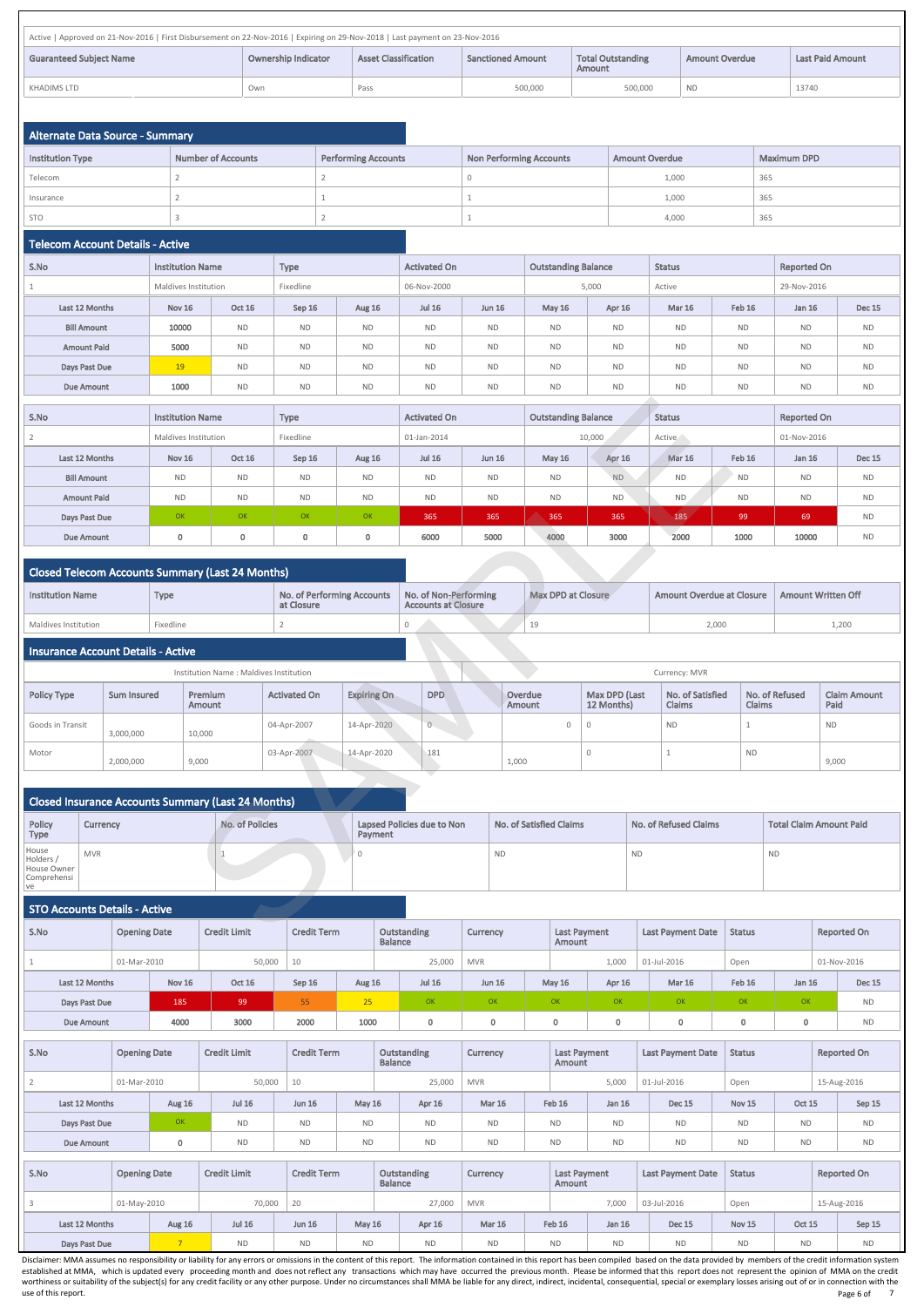| Active   Approved on 21-Nov-2016   First Disbursement on 22-Nov-2016   Expiring on 29-Nov-2018   Last payment on 23-Nov-2016                                                                               |     |      |         |         |           |       |  |  |  |  |  |  |
|------------------------------------------------------------------------------------------------------------------------------------------------------------------------------------------------------------|-----|------|---------|---------|-----------|-------|--|--|--|--|--|--|
| Ownership Indicator<br><b>Total Outstanding</b><br><b>Asset Classification</b><br><b>Guaranteed Subiect Name</b><br><b>Sanctioned Amount</b><br><b>Last Paid Amount</b><br><b>Amount Overdue</b><br>Amount |     |      |         |         |           |       |  |  |  |  |  |  |
| KHADIMS LTD                                                                                                                                                                                                | Own | Pass | 500,000 | 500,000 | <b>ND</b> | 13740 |  |  |  |  |  |  |

| Alternate Data Source - Summary |                           |                            |                         |                       |                    |
|---------------------------------|---------------------------|----------------------------|-------------------------|-----------------------|--------------------|
| <b>Institution Type</b>         | <b>Number of Accounts</b> | <b>Performing Accounts</b> | Non Performing Accounts | <b>Amount Overdue</b> | <b>Maximum DPD</b> |
| Telecom                         |                           |                            |                         | 1,000                 | 365                |
| Insurance                       |                           |                            |                         | 1,000                 | 365                |
| <b>STO</b>                      |                           |                            |                         | 4,000                 | 365                |

#### Telecom Account Details - Active

| S.No               | <b>Institution Name</b> |               | <b>Type</b> |               | <b>Activated On</b> |               |               | <b>Outstanding Balance</b> |               | <b>Status</b> |             | <b>Reported On</b> |  |
|--------------------|-------------------------|---------------|-------------|---------------|---------------------|---------------|---------------|----------------------------|---------------|---------------|-------------|--------------------|--|
|                    | Maldives Institution    |               | Fixedline   |               | 06-Nov-2000         |               | 5,000         |                            | Active        |               | 29-Nov-2016 |                    |  |
| Last 12 Months     | <b>Nov 16</b>           | <b>Oct 16</b> | Sep 16      | <b>Aug 16</b> | <b>Jul 16</b>       | <b>Jun 16</b> | <b>May 16</b> | Apr 16                     | <b>Mar 16</b> | Feb 16        | Jan 16      | <b>Dec 15</b>      |  |
| <b>Bill Amount</b> | 10000                   | <b>ND</b>     | <b>ND</b>   | <b>ND</b>     | <b>ND</b>           | <b>ND</b>     | <b>ND</b>     | <b>ND</b>                  | ND.           | <b>ND</b>     | <b>ND</b>   | <b>ND</b>          |  |
| <b>Amount Paid</b> | 5000                    | <b>ND</b>     | <b>ND</b>   | <b>ND</b>     | <b>ND</b>           | <b>ND</b>     | <b>ND</b>     | <b>ND</b>                  | <b>ND</b>     | <b>ND</b>     | <b>ND</b>   | <b>ND</b>          |  |
| Days Past Due      | 19                      | <b>ND</b>     | <b>ND</b>   | <b>ND</b>     | <b>ND</b>           | <b>ND</b>     | <b>ND</b>     | <b>ND</b>                  | <b>ND</b>     | <b>ND</b>     | <b>ND</b>   | <b>ND</b>          |  |
| <b>Due Amount</b>  | 1000                    | <b>ND</b>     | <b>ND</b>   | <b>ND</b>     | <b>ND</b>           | <b>ND</b>     | <b>ND</b>     | <b>ND</b>                  | <b>ND</b>     | <b>ND</b>     | <b>ND</b>   | <b>ND</b>          |  |

### Closed Telecom Accounts Summary (Last 24 Months)

| <b>Institution Name</b> | <b>Type</b> | No. of Performing Accounts No. of Non-Performing<br>at Closure | <b>Accounts at Closure</b> | Max DPD at Closure | Amount Overdue at Closure | Amount Written Off |
|-------------------------|-------------|----------------------------------------------------------------|----------------------------|--------------------|---------------------------|--------------------|
| Maldives Institution    | Fixedline   |                                                                |                            |                    | 2,000                     | 1,200              |

## Insurance Account Details - Active

|                    |                    | Institution Name: Maldives Institution |                     |                    |            | Currency: MVR     |                             |                                   |                                 |                             |  |
|--------------------|--------------------|----------------------------------------|---------------------|--------------------|------------|-------------------|-----------------------------|-----------------------------------|---------------------------------|-----------------------------|--|
| <b>Policy Type</b> | <b>Sum Insured</b> | Premium<br>Amount                      | <b>Activated On</b> | <b>Expiring On</b> | <b>DPD</b> | Overdue<br>Amount | Max DPD (Last<br>12 Months) | No. of Satisfied<br><b>Claims</b> | No. of Refused<br><b>Claims</b> | <b>Claim Amount</b><br>Paid |  |
| Goods in Transit   | 3,000,000          | 10,000                                 | 04-Apr-2007         | 14-Apr-2020        | $\circ$    | $\Omega$          |                             | <b>ND</b>                         |                                 | <b>ND</b>                   |  |
| Motor              | 2,000,000          | 9,000                                  | 03-Apr-2007         | 14-Apr-2020        | 181        | 1,000             |                             |                                   | <b>ND</b>                       | 9,000                       |  |

|                                                        | Closed Insurance Accounts Summary (Last 24 Months) |                 |                                       |                         |                       |                                |
|--------------------------------------------------------|----------------------------------------------------|-----------------|---------------------------------------|-------------------------|-----------------------|--------------------------------|
| Policy<br><b>Type</b>                                  | Currency                                           | No. of Policies | Lapsed Policies due to Non<br>Payment | No. of Satisfied Claims | No. of Refused Claims | <b>Total Claim Amount Paid</b> |
| House<br>Holders /<br>House Owner<br>Comprehensi<br>ve | MVR                                                |                 |                                       | <b>ND</b>               | <b>ND</b>             | <b>ND</b>                      |

| S.No                                                  |                                           | <b>Institution Name</b> |                                                           | Type                              |                       | <b>Activated On</b>        |               |                                | <b>Outstanding Balance</b> |                             |                                           | <b>Status</b>                     |              | <b>Reported On</b>        |                                |
|-------------------------------------------------------|-------------------------------------------|-------------------------|-----------------------------------------------------------|-----------------------------------|-----------------------|----------------------------|---------------|--------------------------------|----------------------------|-----------------------------|-------------------------------------------|-----------------------------------|--------------|---------------------------|--------------------------------|
| $\overline{2}$                                        |                                           | Maldives Institution    |                                                           | Fixedline                         |                       | 01-Jan-2014                |               |                                |                            | 10,000                      |                                           | Active                            |              | 01-Nov-2016               |                                |
|                                                       | Last 12 Months                            | <b>Nov 16</b>           | <b>Oct 16</b>                                             | Sep 16                            | <b>Aug 16</b>         | <b>Jul 16</b>              | <b>Jun 16</b> |                                | <b>May 16</b>              | Apr 16                      |                                           | <b>Mar 16</b>                     | Feb 16       | <b>Jan 16</b>             | <b>Dec 15</b>                  |
|                                                       | <b>Bill Amount</b>                        | <b>ND</b>               | <b>ND</b>                                                 | <b>ND</b>                         | <b>ND</b>             | <b>ND</b>                  | <b>ND</b>     |                                | <b>ND</b>                  | <b>ND</b>                   |                                           | <b>ND</b>                         | <b>ND</b>    | <b>ND</b>                 | <b>ND</b>                      |
|                                                       | <b>Amount Paid</b>                        | ND                      | <b>ND</b>                                                 | <b>ND</b>                         | <b>ND</b>             | <b>ND</b>                  | <b>ND</b>     |                                | <b>ND</b>                  | <b>ND</b>                   |                                           | ND                                | <b>ND</b>    | <b>ND</b>                 | <b>ND</b>                      |
|                                                       | Days Past Due                             | OK                      | OK                                                        | OK                                | OK                    | 365                        | 365           |                                | 365                        | 365                         |                                           | 185                               | 99           | 69                        | <b>ND</b>                      |
|                                                       | <b>Due Amount</b>                         | $\mathbf 0$             | $\mathbf 0$                                               | $\mathbf 0$                       | $\mathbf 0$           | 6000                       | 5000          |                                | 4000                       | 3000                        |                                           | 2000<br>10000<br>1000             |              |                           | <b>ND</b>                      |
|                                                       |                                           |                         | <b>Closed Telecom Accounts Summary (Last 24 Months)</b>   | <b>No. of Performing Accounts</b> | No. of Non-Performing |                            |               | Max DPD at Closure             |                            |                             | <b>Amount Overdue at Closure</b>          |                                   |              | <b>Amount Written Off</b> |                                |
|                                                       | <b>Institution Name</b><br><b>Type</b>    |                         |                                                           | at Closure                        |                       | <b>Accounts at Closure</b> |               |                                |                            |                             |                                           |                                   |              |                           |                                |
| Maldives Institution                                  |                                           | Fixedline               |                                                           | $\overline{2}$                    |                       | $\mathbf 0$                |               | 19                             |                            |                             |                                           | 2,000                             |              | 1,200                     |                                |
|                                                       | <b>Insurance Account Details - Active</b> |                         |                                                           |                                   |                       |                            |               |                                |                            |                             |                                           |                                   |              |                           |                                |
|                                                       |                                           |                         | Institution Name: Maldives Institution                    |                                   |                       |                            |               |                                |                            |                             |                                           | Currency: MVR                     |              |                           |                                |
| <b>Policy Type</b>                                    | <b>Sum Insured</b>                        |                         | Premium<br>Amount                                         | <b>Activated On</b>               | <b>Expiring On</b>    | <b>DPD</b>                 |               | Overdue<br><b>Amount</b>       |                            | Max DPD (Last<br>12 Months) |                                           | No. of Satisfied<br><b>Claims</b> | Claims       | No. of Refused            | <b>Claim Amount</b><br>Paid    |
| Goods in Transit                                      | 3,000,000                                 |                         | 10,000                                                    | 04-Apr-2007                       | 14-Apr-2020           | $\overline{0}$             |               |                                | $\mathbf 0$                | $\mathbf 0$                 |                                           | <b>ND</b>                         | $\mathbf{1}$ |                           | $\sf ND$                       |
| Motor                                                 | 2,000,000                                 |                         | 9,000                                                     | 03-Apr-2007                       | 14-Apr-2020           | 181                        |               | 1,000                          |                            | $\overline{0}$              |                                           | $\mathbf{1}$                      | <b>ND</b>    |                           | 9,000                          |
|                                                       |                                           |                         | <b>Closed Insurance Accounts Summary (Last 24 Months)</b> |                                   |                       |                            |               |                                |                            |                             |                                           |                                   |              |                           |                                |
| Policy<br>Type                                        | <b>Currency</b>                           |                         | No. of Policies                                           |                                   | Payment               | Lapsed Policies due to Non |               | <b>No. of Satisfied Claims</b> |                            |                             |                                           | <b>No. of Refused Claims</b>      |              |                           | <b>Total Claim Amount Paid</b> |
| House<br>Holders,<br>House Owner<br>Comprehensi<br>ve | <b>MVR</b>                                |                         | 1                                                         |                                   | O                     | <b>ND</b>                  |               |                                |                            |                             | <b>ND</b>                                 |                                   |              | <b>ND</b>                 |                                |
|                                                       | <b>STO Accounts Details - Active</b>      |                         |                                                           |                                   |                       |                            |               |                                |                            |                             |                                           |                                   |              |                           |                                |
| S.No                                                  | <b>Opening Date</b>                       |                         | <b>Credit Limit</b>                                       |                                   | <b>Credit Term</b>    | Outstanding                | Currency      | <b>Last Payment</b>            |                            |                             | <b>Last Payment Date</b><br><b>Status</b> |                                   |              | <b>Reported On</b>        |                                |

#### STO Accounts Details - Active

| S.No              | <b>Opening Date</b> |                 | <b>Credit Limit</b> | <b>Credit Term</b> |               | <b>Balance</b>                | Outstanding    | Currency      |               | <b>Last Payment</b><br>Amount |               | <b>Last Payment Date</b> |                          | <b>Status</b> |               | <b>Reported On</b> |                    |
|-------------------|---------------------|-----------------|---------------------|--------------------|---------------|-------------------------------|----------------|---------------|---------------|-------------------------------|---------------|--------------------------|--------------------------|---------------|---------------|--------------------|--------------------|
|                   | 01-Mar-2010         |                 | 50,000              | 10                 |               |                               | 25,000         | <b>MVR</b>    |               |                               | 1,000         |                          | 01-Jul-2016              | Open          |               |                    | 01-Nov-2016        |
| Last 12 Months    |                     | <b>Nov 16</b>   | <b>Oct 16</b>       | Sep 16             | Aug 16        |                               | <b>Jul 16</b>  | <b>Jun 16</b> | <b>May 16</b> |                               | Apr 16        | <b>Mar 16</b>            |                          | Feb 16        | <b>Jan 16</b> |                    | <b>Dec 15</b>      |
| Days Past Due     |                     | 185             | -99                 | 55                 | 25            |                               | OK             | OK            |               | OK                            | OK            |                          | OK                       | OK            | OK            |                    | <b>ND</b>          |
| <b>Due Amount</b> |                     | 4000            | 3000                | 2000               | 1000          |                               | $\overline{0}$ | 0             |               | 0                             | $\mathbf 0$   |                          | $\mathbf{0}$             | $\mathbf{0}$  | $\mathbf{0}$  |                    | <b>ND</b>          |
| S.No              | <b>Opening Date</b> |                 | <b>Credit Limit</b> | <b>Credit Term</b> |               | Outstanding<br><b>Balance</b> |                | Currency      |               | <b>Last Payment</b><br>Amount |               |                          | <b>Last Payment Date</b> | <b>Status</b> |               |                    | <b>Reported On</b> |
| $\overline{2}$    | 01-Mar-2010         |                 | 50,000              | 10                 |               |                               | 25,000         | <b>MVR</b>    |               | 5,000                         |               | 01-Jul-2016              |                          | Open          |               | 15-Aug-2016        |                    |
| Last 12 Months    |                     | <b>Aug 16</b>   | <b>Jul 16</b>       | <b>Jun 16</b>      | <b>May 16</b> | Apr 16                        |                | <b>Mar 16</b> |               | Feb 16                        | Jan 16        |                          | <b>Dec 15</b>            | <b>Nov 15</b> | Oct 15        |                    | Sep 15             |
| Days Past Due     |                     | OK              | <b>ND</b>           | <b>ND</b>          | <b>ND</b>     |                               | <b>ND</b>      | <b>ND</b>     |               | <b>ND</b>                     | <b>ND</b>     |                          | <b>ND</b>                | <b>ND</b>     | <b>ND</b>     |                    | <b>ND</b>          |
| <b>Due Amount</b> |                     | $\mathbf 0$     | <b>ND</b>           | <b>ND</b>          | <b>ND</b>     |                               | <b>ND</b>      | <b>ND</b>     |               | <b>ND</b>                     | <b>ND</b>     | <b>ND</b>                |                          | <b>ND</b>     | <b>ND</b>     |                    | <b>ND</b>          |
|                   |                     |                 |                     |                    |               |                               |                |               |               |                               |               |                          |                          |               |               |                    |                    |
| S.No              | <b>Opening Date</b> |                 | <b>Credit Limit</b> | <b>Credit Term</b> |               | <b>Balance</b>                | Outstanding    | Currency      |               | Last Payment<br>Amount        |               | <b>Last Payment Date</b> |                          | <b>Status</b> |               |                    | <b>Reported On</b> |
| $\overline{3}$    | 01-May-2010         |                 | 70,000              | 20                 |               |                               | 27,000         | <b>MVR</b>    |               | 7,000                         |               | 03-Jul-2016              |                          | Open          |               | 15-Aug-2016        |                    |
| Last 12 Months    |                     | Aug 16          | <b>Jul 16</b>       | <b>Jun 16</b>      | <b>May 16</b> |                               | Apr 16         | <b>Mar 16</b> |               | Feb 16                        | <b>Jan 16</b> |                          | <b>Dec 15</b>            | <b>Nov 15</b> | <b>Oct 15</b> |                    | Sep 15             |
| Days Past Due     |                     | $7\overline{ }$ | <b>ND</b>           | <b>ND</b>          | <b>ND</b>     |                               | <b>ND</b>      | <b>ND</b>     |               | <b>ND</b>                     | <b>ND</b>     |                          | <b>ND</b>                | <b>ND</b>     | <b>ND</b>     |                    | <b>ND</b>          |

Disclaimer: MMA assumes no responsibility or liability for any errors or omissions in the content of this report. The information contained in this report has been compiled based on the data provided by members of the cred established at MMA, which is updated every proceeding month and does not reflect any transactions which may have occurred the previous month. Please be informed that this report does not represent the opinion of MMA on the worthiness or suitability of the subject(s) for any credit facility or any other purpose. Under no circumstances shall MMA be liable for any direct, indirect, incidental, consequential, special or exemplary losses arising use of this report. Notice that the control of the control of the control of the control of the control of the control of the control of the control of the control of the control of the control of the control of the contro Page 6 of 7